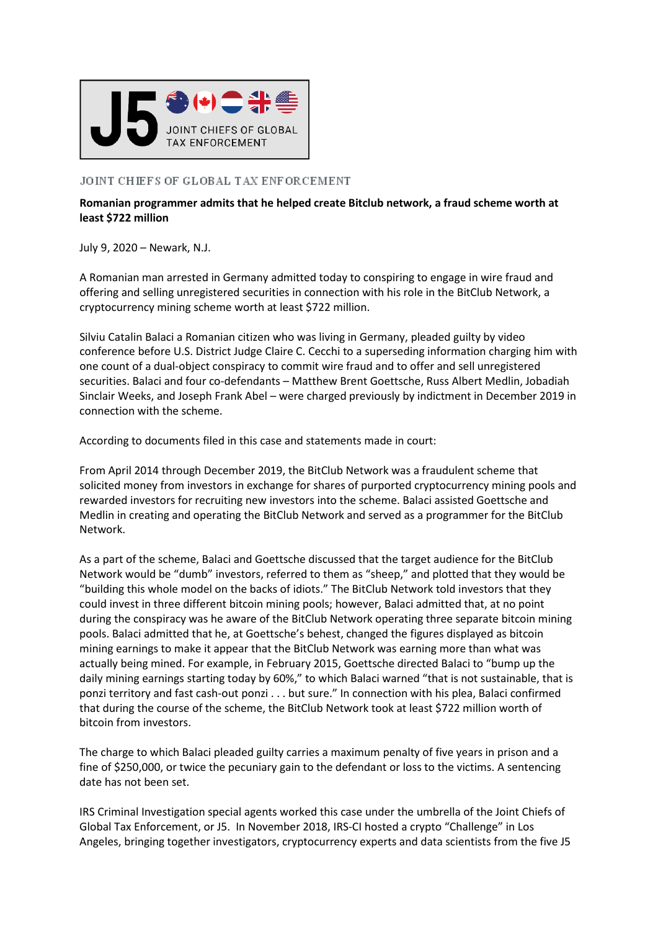

## JOINT CHIEFS OF GLOBAL TAX ENFORCEMENT

## **Romanian programmer admits that he helped create Bitclub network, a fraud scheme worth at least \$722 million**

July 9, 2020 – Newark, N.J.

A Romanian man arrested in Germany admitted today to conspiring to engage in wire fraud and offering and selling unregistered securities in connection with his role in the BitClub Network, a cryptocurrency mining scheme worth at least \$722 million.

Silviu Catalin Balaci a Romanian citizen who was living in Germany, pleaded guilty by video conference before U.S. District Judge Claire C. Cecchi to a superseding information charging him with one count of a dual-object conspiracy to commit wire fraud and to offer and sell unregistered securities. Balaci and four co-defendants – Matthew Brent Goettsche, Russ Albert Medlin, Jobadiah Sinclair Weeks, and Joseph Frank Abel – were charged previously by indictment in December 2019 in connection with the scheme.

According to documents filed in this case and statements made in court:

From April 2014 through December 2019, the BitClub Network was a fraudulent scheme that solicited money from investors in exchange for shares of purported cryptocurrency mining pools and rewarded investors for recruiting new investors into the scheme. Balaci assisted Goettsche and Medlin in creating and operating the BitClub Network and served as a programmer for the BitClub Network.

As a part of the scheme, Balaci and Goettsche discussed that the target audience for the BitClub Network would be "dumb" investors, referred to them as "sheep," and plotted that they would be "building this whole model on the backs of idiots." The BitClub Network told investors that they could invest in three different bitcoin mining pools; however, Balaci admitted that, at no point during the conspiracy was he aware of the BitClub Network operating three separate bitcoin mining pools. Balaci admitted that he, at Goettsche's behest, changed the figures displayed as bitcoin mining earnings to make it appear that the BitClub Network was earning more than what was actually being mined. For example, in February 2015, Goettsche directed Balaci to "bump up the daily mining earnings starting today by 60%," to which Balaci warned "that is not sustainable, that is ponzi territory and fast cash-out ponzi . . . but sure." In connection with his plea, Balaci confirmed that during the course of the scheme, the BitClub Network took at least \$722 million worth of bitcoin from investors.

The charge to which Balaci pleaded guilty carries a maximum penalty of five years in prison and a fine of \$250,000, or twice the pecuniary gain to the defendant or loss to the victims. A sentencing date has not been set.

IRS Criminal Investigation special agents worked this case under the umbrella of the Joint Chiefs of Global Tax Enforcement, or J5. In November 2018, IRS-CI hosted a crypto "Challenge" in Los Angeles, bringing together investigators, cryptocurrency experts and data scientists from the five J5